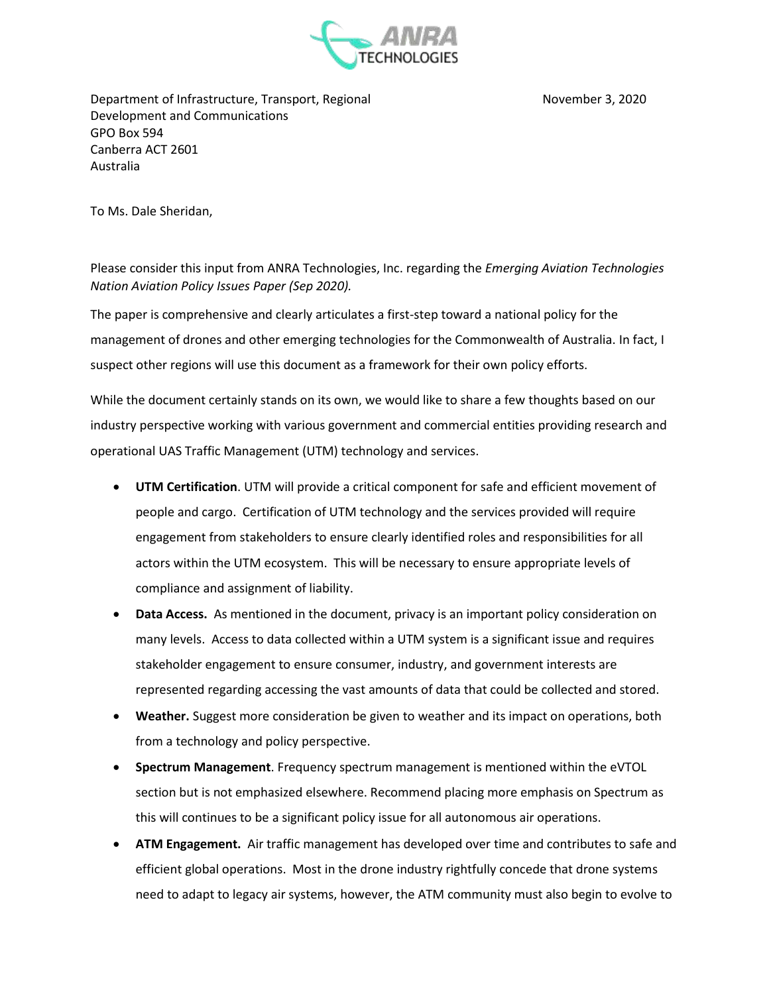

Department of Infrastructure, Transport, Regional November 3, 2020 Development and Communications GPO Box 594 Canberra ACT 2601 Australia

To Ms. Dale Sheridan,

Please consider this input from ANRA Technologies, Inc. regarding the *Emerging Aviation Technologies Nation Aviation Policy Issues Paper (Sep 2020).*

The paper is comprehensive and clearly articulates a first-step toward a national policy for the management of drones and other emerging technologies for the Commonwealth of Australia. In fact, I suspect other regions will use this document as a framework for their own policy efforts.

While the document certainly stands on its own, we would like to share a few thoughts based on our industry perspective working with various government and commercial entities providing research and operational UAS Traffic Management (UTM) technology and services.

- **UTM Certification**. UTM will provide a critical component for safe and efficient movement of people and cargo. Certification of UTM technology and the services provided will require engagement from stakeholders to ensure clearly identified roles and responsibilities for all actors within the UTM ecosystem. This will be necessary to ensure appropriate levels of compliance and assignment of liability.
- **Data Access.** As mentioned in the document, privacy is an important policy consideration on many levels. Access to data collected within a UTM system is a significant issue and requires stakeholder engagement to ensure consumer, industry, and government interests are represented regarding accessing the vast amounts of data that could be collected and stored.
- **Weather.** Suggest more consideration be given to weather and its impact on operations, both from a technology and policy perspective.
- **Spectrum Management**. Frequency spectrum management is mentioned within the eVTOL section but is not emphasized elsewhere. Recommend placing more emphasis on Spectrum as this will continues to be a significant policy issue for all autonomous air operations.
- **ATM Engagement.** Air traffic management has developed over time and contributes to safe and efficient global operations. Most in the drone industry rightfully concede that drone systems need to adapt to legacy air systems, however, the ATM community must also begin to evolve to